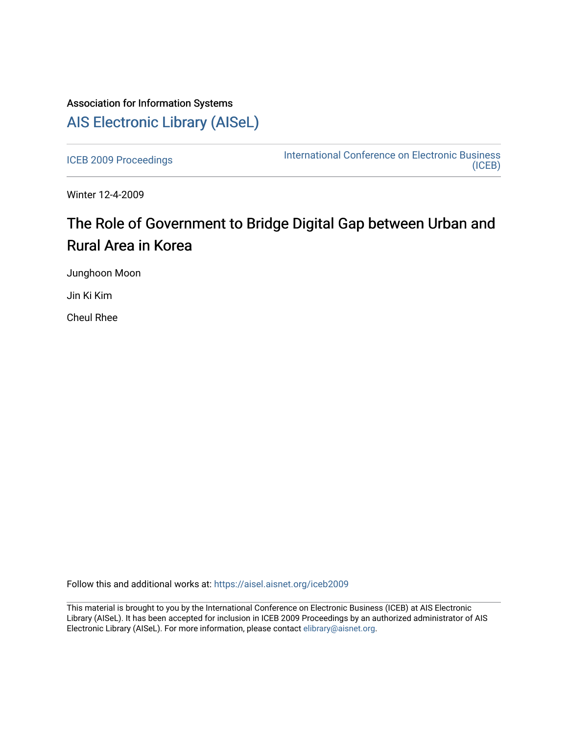## Association for Information Systems [AIS Electronic Library \(AISeL\)](https://aisel.aisnet.org/)

[ICEB 2009 Proceedings](https://aisel.aisnet.org/iceb2009) **International Conference on Electronic Business** [\(ICEB\)](https://aisel.aisnet.org/iceb) 

Winter 12-4-2009

# The Role of Government to Bridge Digital Gap between Urban and Rural Area in Korea

Junghoon Moon

Jin Ki Kim

Cheul Rhee

Follow this and additional works at: [https://aisel.aisnet.org/iceb2009](https://aisel.aisnet.org/iceb2009?utm_source=aisel.aisnet.org%2Ficeb2009%2F57&utm_medium=PDF&utm_campaign=PDFCoverPages)

This material is brought to you by the International Conference on Electronic Business (ICEB) at AIS Electronic Library (AISeL). It has been accepted for inclusion in ICEB 2009 Proceedings by an authorized administrator of AIS Electronic Library (AISeL). For more information, please contact [elibrary@aisnet.org.](mailto:elibrary@aisnet.org%3E)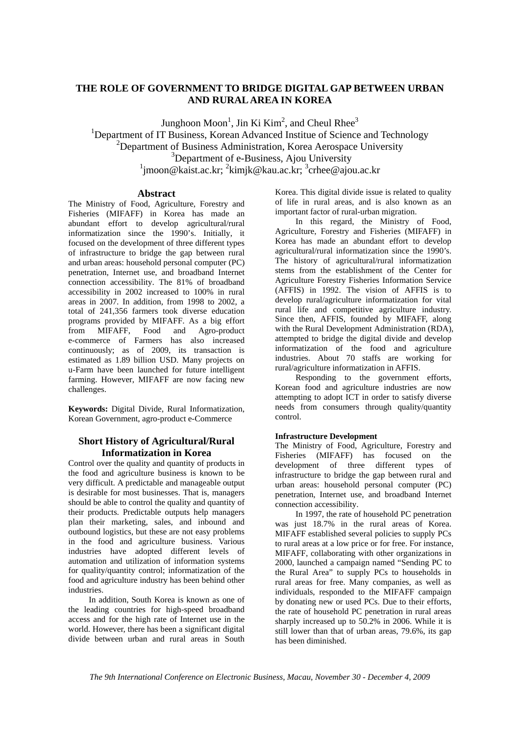## **THE ROLE OF GOVERNMENT TO BRIDGE DIGITAL GAP BETWEEN URBAN AND RURAL AREA IN KOREA**

Junghoon Moon<sup>1</sup>, Jin Ki Kim<sup>2</sup>, and Cheul Rhee<sup>3</sup> <sup>1</sup>Department of IT Business, Korean Advanced Institue of Science and Technology  $2$ Department of Business Administration, Korea Aerospace University <sup>3</sup>Department of e-Business, Ajou University <sup>1</sup>jmoon@kaist.ac.kr; <sup>2</sup>kimjk@kau.ac.kr; <sup>3</sup>crhee@ajou.ac.kr

#### **Abstract**

The Ministry of Food, Agriculture, Forestry and Fisheries (MIFAFF) in Korea has made an abundant effort to develop agricultural/rural informatization since the 1990's. Initially, it focused on the development of three different types of infrastructure to bridge the gap between rural and urban areas: household personal computer (PC) penetration, Internet use, and broadband Internet connection accessibility. The 81% of broadband accessibility in 2002 increased to 100% in rural areas in 2007. In addition, from 1998 to 2002, a total of 241,356 farmers took diverse education programs provided by MIFAFF. As a big effort<br>from MIFAFF. Food and Agro-product from MIFAFF, Food and Agro-product e-commerce of Farmers has also increased continuously; as of 2009, its transaction is estimated as 1.89 billion USD. Many projects on u-Farm have been launched for future intelligent farming. However, MIFAFF are now facing new challenges.

**Keywords:** Digital Divide, Rural Informatization, Korean Government, agro-product e-Commerce

## **Short History of Agricultural/Rural Informatization in Korea**

Control over the quality and quantity of products in the food and agriculture business is known to be very difficult. A predictable and manageable output is desirable for most businesses. That is, managers should be able to control the quality and quantity of their products. Predictable outputs help managers plan their marketing, sales, and inbound and outbound logistics, but these are not easy problems in the food and agriculture business. Various industries have adopted different levels of automation and utilization of information systems for quality/quantity control; informatization of the food and agriculture industry has been behind other industries.

In addition, South Korea is known as one of the leading countries for high-speed broadband access and for the high rate of Internet use in the world. However, there has been a significant digital divide between urban and rural areas in South

Korea. This digital divide issue is related to quality of life in rural areas, and is also known as an important factor of rural-urban migration.

In this regard, the Ministry of Food, Agriculture, Forestry and Fisheries (MIFAFF) in Korea has made an abundant effort to develop agricultural/rural informatization since the 1990's. The history of agricultural/rural informatization stems from the establishment of the Center for Agriculture Forestry Fisheries Information Service (AFFIS) in 1992. The vision of AFFIS is to develop rural/agriculture informatization for vital rural life and competitive agriculture industry. Since then, AFFIS, founded by MIFAFF, along with the Rural Development Administration (RDA), attempted to bridge the digital divide and develop informatization of the food and agriculture industries. About 70 staffs are working for rural/agriculture informatization in AFFIS.

Responding to the government efforts, Korean food and agriculture industries are now attempting to adopt ICT in order to satisfy diverse needs from consumers through quality/quantity control.

#### **Infrastructure Development**

The Ministry of Food, Agriculture, Forestry and Fisheries (MIFAFF) has focused on the development of three different types of infrastructure to bridge the gap between rural and urban areas: household personal computer (PC) penetration, Internet use, and broadband Internet connection accessibility.

In 1997, the rate of household PC penetration was just 18.7% in the rural areas of Korea. MIFAFF established several policies to supply PCs to rural areas at a low price or for free. For instance, MIFAFF, collaborating with other organizations in 2000, launched a campaign named "Sending PC to the Rural Area" to supply PCs to households in rural areas for free. Many companies, as well as individuals, responded to the MIFAFF campaign by donating new or used PCs. Due to their efforts, the rate of household PC penetration in rural areas sharply increased up to 50.2% in 2006. While it is still lower than that of urban areas, 79.6%, its gap has been diminished.

*The 9th International Conference on Electronic Business, Macau, November 30 - December 4, 2009*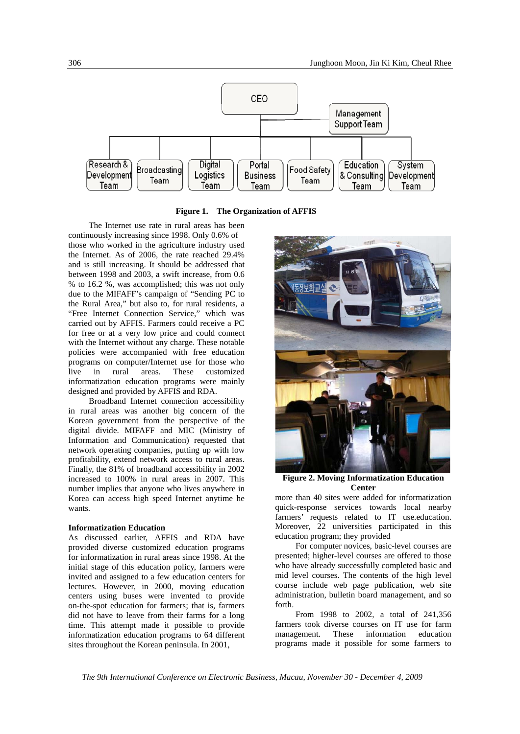

**Figure 1. The Organization of AFFIS** 

The Internet use rate in rural areas has been continuously increasing since 1998. Only 0.6% of those who worked in the agriculture industry used the Internet. As of 2006, the rate reached 29.4% and is still increasing. It should be addressed that between 1998 and 2003, a swift increase, from 0.6 % to 16.2 %, was accomplished; this was not only due to the MIFAFF's campaign of "Sending PC to the Rural Area," but also to, for rural residents, a "Free Internet Connection Service," which was carried out by AFFIS. Farmers could receive a PC for free or at a very low price and could connect with the Internet without any charge. These notable policies were accompanied with free education programs on computer/Internet use for those who live in rural areas. These customized informatization education programs were mainly designed and provided by AFFIS and RDA.

Broadband Internet connection accessibility in rural areas was another big concern of the Korean government from the perspective of the digital divide. MIFAFF and MIC (Ministry of Information and Communication) requested that network operating companies, putting up with low profitability, extend network access to rural areas. Finally, the 81% of broadband accessibility in 2002 increased to 100% in rural areas in 2007. This number implies that anyone who lives anywhere in Korea can access high speed Internet anytime he wants.

#### **Informatization Education**

As discussed earlier, AFFIS and RDA have provided diverse customized education programs for informatization in rural areas since 1998. At the initial stage of this education policy, farmers were invited and assigned to a few education centers for lectures. However, in 2000, moving education centers using buses were invented to provide on-the-spot education for farmers; that is, farmers did not have to leave from their farms for a long time. This attempt made it possible to provide informatization education programs to 64 different sites throughout the Korean peninsula. In 2001,



**Figure 2. Moving Informatization Education Center** 

more than 40 sites were added for informatization quick-response services towards local nearby farmers' requests related to IT use.education. Moreover, 22 universities participated in this education program; they provided

For computer novices, basic-level courses are presented; higher-level courses are offered to those who have already successfully completed basic and mid level courses. The contents of the high level course include web page publication, web site administration, bulletin board management, and so forth.

From 1998 to 2002, a total of 241,356 farmers took diverse courses on IT use for farm management. These information education programs made it possible for some farmers to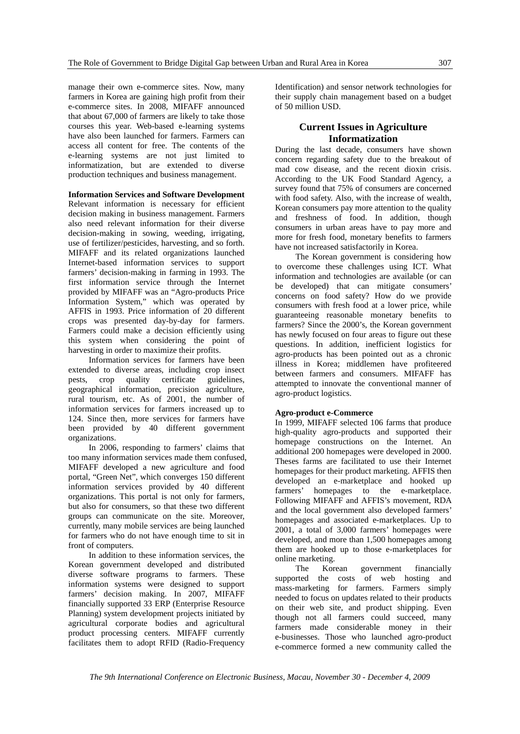manage their own e-commerce sites. Now, many farmers in Korea are gaining high profit from their e-commerce sites. In 2008, MIFAFF announced that about 67,000 of farmers are likely to take those courses this year. Web-based e-learning systems have also been launched for farmers. Farmers can access all content for free. The contents of the e-learning systems are not just limited to informatization, but are extended to diverse production techniques and business management.

#### **Information Services and Software Development**

Relevant information is necessary for efficient decision making in business management. Farmers also need relevant information for their diverse decision-making in sowing, weeding, irrigating, use of fertilizer/pesticides, harvesting, and so forth. MIFAFF and its related organizations launched Internet-based information services to support farmers' decision-making in farming in 1993. The first information service through the Internet provided by MIFAFF was an "Agro-products Price Information System," which was operated by AFFIS in 1993. Price information of 20 different crops was presented day-by-day for farmers. Farmers could make a decision efficiently using this system when considering the point of harvesting in order to maximize their profits.

Information services for farmers have been extended to diverse areas, including crop insect pests, crop quality certificate guidelines, geographical information, precision agriculture, rural tourism, etc. As of 2001, the number of information services for farmers increased up to 124. Since then, more services for farmers have been provided by 40 different government organizations.

In 2006, responding to farmers' claims that too many information services made them confused, MIFAFF developed a new agriculture and food portal, "Green Net", which converges 150 different information services provided by 40 different organizations. This portal is not only for farmers, but also for consumers, so that these two different groups can communicate on the site. Moreover, currently, many mobile services are being launched for farmers who do not have enough time to sit in front of computers.

In addition to these information services, the Korean government developed and distributed diverse software programs to farmers. These information systems were designed to support farmers' decision making. In 2007, MIFAFF financially supported 33 ERP (Enterprise Resource Planning) system development projects initiated by agricultural corporate bodies and agricultural product processing centers. MIFAFF currently facilitates them to adopt RFID (Radio-Frequency

Identification) and sensor network technologies for their supply chain management based on a budget of 50 million USD.

## **Current Issues in Agriculture Informatization**

During the last decade, consumers have shown concern regarding safety due to the breakout of mad cow disease, and the recent dioxin crisis. According to the UK Food Standard Agency, a survey found that 75% of consumers are concerned with food safety. Also, with the increase of wealth, Korean consumers pay more attention to the quality and freshness of food. In addition, though consumers in urban areas have to pay more and more for fresh food, monetary benefits to farmers have not increased satisfactorily in Korea.

The Korean government is considering how to overcome these challenges using ICT. What information and technologies are available (or can be developed) that can mitigate consumers' concerns on food safety? How do we provide consumers with fresh food at a lower price, while guaranteeing reasonable monetary benefits to farmers? Since the 2000's, the Korean government has newly focused on four areas to figure out these questions. In addition, inefficient logistics for agro-products has been pointed out as a chronic illness in Korea; middlemen have profiteered between farmers and consumers. MIFAFF has attempted to innovate the conventional manner of agro-product logistics.

#### **Agro-product e-Commerce**

In 1999, MIFAFF selected 106 farms that produce high-quality agro-products and supported their homepage constructions on the Internet. An additional 200 homepages were developed in 2000. Theses farms are facilitated to use their Internet homepages for their product marketing. AFFIS then developed an e-marketplace and hooked up farmers' homepages to the e-marketplace. Following MIFAFF and AFFIS's movement, RDA and the local government also developed farmers' homepages and associated e-marketplaces. Up to 2001, a total of 3,000 farmers' homepages were developed, and more than 1,500 homepages among them are hooked up to those e-marketplaces for online marketing.

The Korean government financially supported the costs of web hosting and mass-marketing for farmers. Farmers simply needed to focus on updates related to their products on their web site, and product shipping. Even though not all farmers could succeed, many farmers made considerable money in their e-businesses. Those who launched agro-product e-commerce formed a new community called the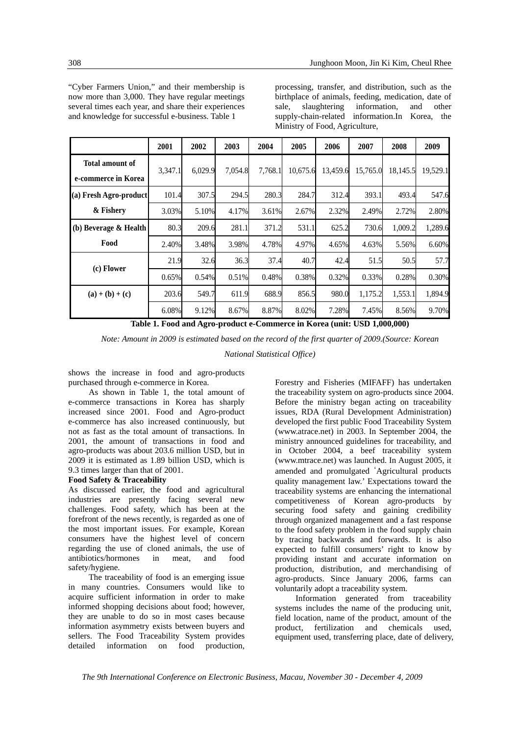"Cyber Farmers Union," and their membership is now more than 3,000. They have regular meetings several times each year, and share their experiences and knowledge for successful e-business. Table 1

processing, transfer, and distribution, such as the birthplace of animals, feeding, medication, date of sale, slaughtering information, and other supply-chain-related information.In Korea, the Ministry of Food, Agriculture,

|                                               | 2001    | 2002    | 2003    | 2004    | 2005     | 2006     | 2007     | 2008     | 2009     |
|-----------------------------------------------|---------|---------|---------|---------|----------|----------|----------|----------|----------|
| <b>Total amount of</b><br>e-commerce in Korea | 3,347.1 | 6,029.9 | 7,054.8 | 7,768.1 | 10,675.6 | 13,459.6 | 15,765.0 | 18,145.5 | 19,529.1 |
| (a) Fresh Agro-product                        | 101.4   | 307.5   | 294.5   | 280.3   | 284.7    | 312.4    | 393.1    | 493.4    | 547.6    |
| & Fishery                                     | 3.03%   | 5.10%   | 4.17%   | 3.61%   | 2.67%    | 2.32%    | 2.49%    | 2.72%    | 2.80%    |
| (b) Beverage & Health                         | 80.3    | 209.6   | 281.1   | 371.2   | 531.1    | 625.2    | 730.6    | 1,009.2  | 1,289.6  |
| Food                                          | 2.40%   | 3.48%   | 3.98%   | 4.78%   | 4.97%    | 4.65%    | 4.63%    | 5.56%    | 6.60%    |
| (c) Flower                                    | 21.9    | 32.6    | 36.3    | 37.4    | 40.7     | 42.4     | 51.5     | 50.5     | 57.7     |
|                                               | 0.65%   | 0.54%   | 0.51%   | 0.48%   | 0.38%    | 0.32%    | 0.33%    | 0.28%    | 0.30%    |
| $(a) + (b) + (c)$                             | 203.6   | 549.7   | 611.9   | 688.9   | 856.5    | 980.0    | 1,175.2  | 1,553.1  | 1,894.9  |
|                                               | 6.08%   | 9.12%   | 8.67%   | 8.87%   | 8.02%    | 7.28%    | 7.45%    | 8.56%    | 9.70%    |

**Table 1. Food and Agro-product e-Commerce in Korea (unit: USD 1,000,000)**

*Note: Amount in 2009 is estimated based on the record of the first quarter of 2009.(Source: Korean* 

*National Statistical Office)* 

shows the increase in food and agro-products purchased through e-commerce in Korea.

As shown in Table 1, the total amount of e-commerce transactions in Korea has sharply increased since 2001. Food and Agro-product e-commerce has also increased continuously, but not as fast as the total amount of transactions. In 2001, the amount of transactions in food and agro-products was about 203.6 million USD, but in 2009 it is estimated as 1.89 billion USD, which is 9.3 times larger than that of 2001.

#### **Food Safety & Traceability**

As discussed earlier, the food and agricultural industries are presently facing several new challenges. Food safety, which has been at the forefront of the news recently, is regarded as one of the most important issues. For example, Korean consumers have the highest level of concern regarding the use of cloned animals, the use of antibiotics/hormones in meat, and food safety/hygiene.

The traceability of food is an emerging issue in many countries. Consumers would like to acquire sufficient information in order to make informed shopping decisions about food; however, they are unable to do so in most cases because information asymmetry exists between buyers and sellers. The Food Traceability System provides detailed information on food production,

Forestry and Fisheries (MIFAFF) has undertaken the traceability system on agro-products since 2004. Before the ministry began acting on traceability issues, RDA (Rural Development Administration) developed the first public Food Traceability System (www.atrace.net) in 2003. In September 2004, the ministry announced guidelines for traceability, and in October 2004, a beef traceability system (www.mtrace.net) was launched. In August 2005, it amended and promulgated 'Agricultural products quality management law.' Expectations toward the traceability systems are enhancing the international competitiveness of Korean agro-products by securing food safety and gaining credibility through organized management and a fast response to the food safety problem in the food supply chain by tracing backwards and forwards. It is also expected to fulfill consumers' right to know by providing instant and accurate information on production, distribution, and merchandising of agro-products. Since January 2006, farms can voluntarily adopt a traceability system.

Information generated from traceability systems includes the name of the producing unit, field location, name of the product, amount of the product, fertilization and chemicals used, equipment used, transferring place, date of delivery,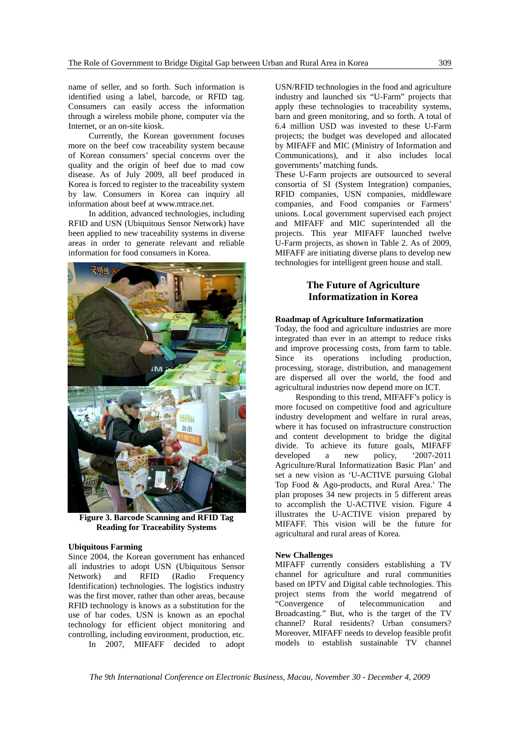name of seller, and so forth. Such information is identified using a label, barcode, or RFID tag. Consumers can easily access the information through a wireless mobile phone, computer via the Internet, or an on-site kiosk.

Currently, the Korean government focuses more on the beef cow traceability system because of Korean consumers' special concerns over the quality and the origin of beef due to mad cow disease. As of July 2009, all beef produced in Korea is forced to register to the traceability system by law. Consumers in Korea can inquiry all information about beef at www.mtrace.net.

In addition, advanced technologies, including RFID and USN (Ubiquitous Sensor Network) have been applied to new traceability systems in diverse areas in order to generate relevant and reliable information for food consumers in Korea.



**Figure 3. Barcode Scanning and RFID Tag Reading for Traceability Systems** 

#### **Ubiquitous Farming**

Since 2004, the Korean government has enhanced all industries to adopt USN (Ubiquitous Sensor Network) and RFID (Radio Frequency Identification) technologies. The logistics industry was the first mover, rather than other areas, because RFID technology is knows as a substitution for the use of bar codes. USN is known as an epochal technology for efficient object monitoring and controlling, including environment, production, etc. In 2007, MIFAFF decided to adopt

USN/RFID technologies in the food and agriculture industry and launched six "U-Farm" projects that apply these technologies to traceability systems, barn and green monitoring, and so forth. A total of 6.4 million USD was invested to these U-Farm projects; the budget was developed and allocated by MIFAFF and MIC (Ministry of Information and Communications), and it also includes local governments' matching funds.

These U-Farm projects are outsourced to several consortia of SI (System Integration) companies, RFID companies, USN companies, middleware companies, and Food companies or Farmers' unions. Local government supervised each project and MIFAFF and MIC superintended all the projects. This year MIFAFF launched twelve U-Farm projects, as shown in Table 2. As of 2009, MIFAFF are initiating diverse plans to develop new technologies for intelligent green house and stall.

## **The Future of Agriculture Informatization in Korea**

#### **Roadmap of Agriculture Informatization**

Today, the food and agriculture industries are more integrated than ever in an attempt to reduce risks and improve processing costs, from farm to table. Since its operations including production, processing, storage, distribution, and management are dispersed all over the world, the food and agricultural industries now depend more on ICT.

Responding to this trend, MIFAFF's policy is more focused on competitive food and agriculture industry development and welfare in rural areas, where it has focused on infrastructure construction and content development to bridge the digital divide. To achieve its future goals, MIFAFF developed a new policy, '2007-2011 Agriculture/Rural Informatization Basic Plan' and set a new vision as 'U-ACTIVE pursuing Global Top Food & Ago-products, and Rural Area.' The plan proposes 34 new projects in 5 different areas to accomplish the U-ACTIVE vision. Figure 4 illustrates the U-ACTIVE vision prepared by MIFAFF. This vision will be the future for agricultural and rural areas of Korea.

#### **New Challenges**

MIFAFF currently considers establishing a TV channel for agriculture and rural communities based on IPTV and Digital cable technologies. This project stems from the world megatrend of "Convergence of telecommunication and Broadcasting." But, who is the target of the TV channel? Rural residents? Urban consumers? Moreover, MIFAFF needs to develop feasible profit models to establish sustainable TV channel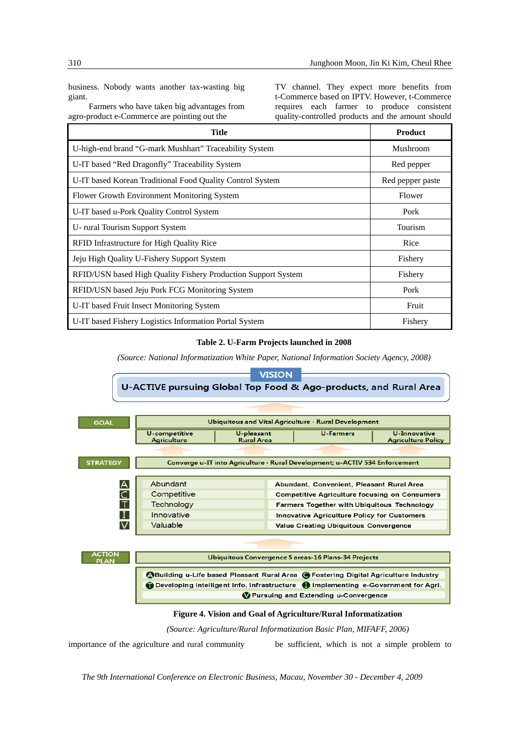business. Nobody wants another tax-wasting big giant.

Farmers who have taken big advantages from agro-product e-Commerce are pointing out the

TV channel. They expect more benefits from t-Commerce based on IPTV. However, t-Commerce requires each farmer to produce consistent quality-controlled products and the amount should

| Title                                                         | <b>Product</b>   |  |  |
|---------------------------------------------------------------|------------------|--|--|
| U-high-end brand "G-mark Mushhart" Traceability System        | Mushroom         |  |  |
| U-IT based "Red Dragonfly" Traceability System                | Red pepper       |  |  |
| U-IT based Korean Traditional Food Quality Control System     | Red pepper paste |  |  |
| Flower Growth Environment Monitoring System                   | Flower           |  |  |
| U-IT based u-Pork Quality Control System                      | Pork             |  |  |
| U- rural Tourism Support System                               | Tourism          |  |  |
| RFID Infrastructure for High Quality Rice                     | Rice             |  |  |
| Jeju High Quality U-Fishery Support System                    | Fishery          |  |  |
| RFID/USN based High Quality Fishery Production Support System | Fishery          |  |  |
| RFID/USN based Jeju Pork FCG Monitoring System                | Pork             |  |  |
| U-IT based Fruit Insect Monitoring System                     | Fruit            |  |  |
| U-IT based Fishery Logistics Information Portal System        | Fishery          |  |  |

### **Table 2. U-Farm Projects launched in 2008**

*(Source: National Informatization White Paper, National Information Society Agency, 2008)*



*(Source: Agriculture/Rural Informatization Basic Plan, MIFAFF, 2006)* 

importance of the agriculture and rural community be sufficient, which is not a simple problem to

*The 9th International Conference on Electronic Business, Macau, November 30 - December 4, 2009*